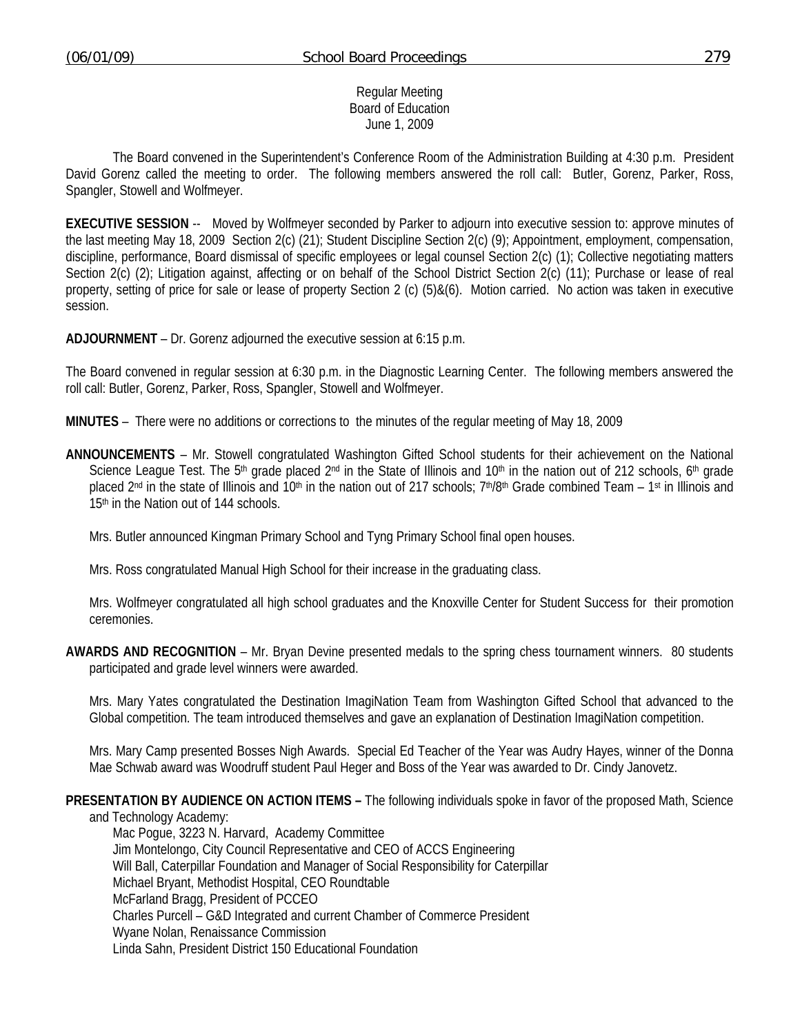#### Regular Meeting Board of Education June 1, 2009

 The Board convened in the Superintendent's Conference Room of the Administration Building at 4:30 p.m. President David Gorenz called the meeting to order. The following members answered the roll call: Butler, Gorenz, Parker, Ross, Spangler, Stowell and Wolfmeyer.

**EXECUTIVE SESSION** -- Moved by Wolfmeyer seconded by Parker to adjourn into executive session to: approve minutes of the last meeting May 18, 2009 Section 2(c) (21); Student Discipline Section 2(c) (9); Appointment, employment, compensation, discipline, performance, Board dismissal of specific employees or legal counsel Section 2(c) (1); Collective negotiating matters Section 2(c) (2); Litigation against, affecting or on behalf of the School District Section 2(c) (11); Purchase or lease of real property, setting of price for sale or lease of property Section 2 (c) (5)&(6). Motion carried. No action was taken in executive session.

**ADJOURNMENT** – Dr. Gorenz adjourned the executive session at 6:15 p.m.

The Board convened in regular session at 6:30 p.m. in the Diagnostic Learning Center. The following members answered the roll call: Butler, Gorenz, Parker, Ross, Spangler, Stowell and Wolfmeyer.

**MINUTES** – There were no additions or corrections to the minutes of the regular meeting of May 18, 2009

**ANNOUNCEMENTS** – Mr. Stowell congratulated Washington Gifted School students for their achievement on the National Science League Test. The 5<sup>th</sup> grade placed 2<sup>nd</sup> in the State of Illinois and 10<sup>th</sup> in the nation out of 212 schools, 6<sup>th</sup> grade placed 2<sup>nd</sup> in the state of Illinois and 10<sup>th</sup> in the nation out of 217 schools; 7<sup>th</sup>/8<sup>th</sup> Grade combined Team – 1<sup>st</sup> in Illinois and 15<sup>th</sup> in the Nation out of 144 schools.

Mrs. Butler announced Kingman Primary School and Tyng Primary School final open houses.

Mrs. Ross congratulated Manual High School for their increase in the graduating class.

 Mrs. Wolfmeyer congratulated all high school graduates and the Knoxville Center for Student Success for their promotion ceremonies.

**AWARDS AND RECOGNITION** – Mr. Bryan Devine presented medals to the spring chess tournament winners. 80 students participated and grade level winners were awarded.

 Mrs. Mary Yates congratulated the Destination ImagiNation Team from Washington Gifted School that advanced to the Global competition. The team introduced themselves and gave an explanation of Destination ImagiNation competition.

 Mrs. Mary Camp presented Bosses Nigh Awards. Special Ed Teacher of the Year was Audry Hayes, winner of the Donna Mae Schwab award was Woodruff student Paul Heger and Boss of the Year was awarded to Dr. Cindy Janovetz.

#### **PRESENTATION BY AUDIENCE ON ACTION ITEMS –** The following individuals spoke in favor of the proposed Math, Science

and Technology Academy: Mac Pogue, 3223 N. Harvard, Academy Committee Jim Montelongo, City Council Representative and CEO of ACCS Engineering Will Ball, Caterpillar Foundation and Manager of Social Responsibility for Caterpillar Michael Bryant, Methodist Hospital, CEO Roundtable McFarland Bragg, President of PCCEO Charles Purcell – G&D Integrated and current Chamber of Commerce President Wyane Nolan, Renaissance Commission Linda Sahn, President District 150 Educational Foundation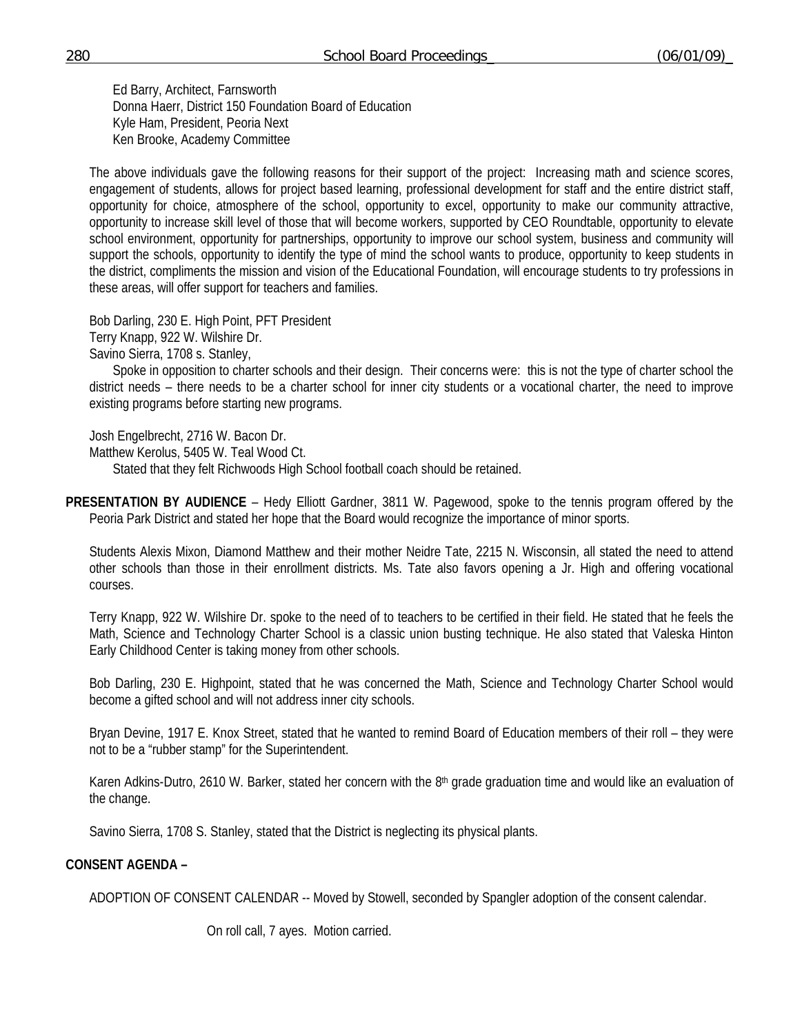Ed Barry, Architect, Farnsworth Donna Haerr, District 150 Foundation Board of Education Kyle Ham, President, Peoria Next Ken Brooke, Academy Committee

 The above individuals gave the following reasons for their support of the project: Increasing math and science scores, engagement of students, allows for project based learning, professional development for staff and the entire district staff, opportunity for choice, atmosphere of the school, opportunity to excel, opportunity to make our community attractive, opportunity to increase skill level of those that will become workers, supported by CEO Roundtable, opportunity to elevate school environment, opportunity for partnerships, opportunity to improve our school system, business and community will support the schools, opportunity to identify the type of mind the school wants to produce, opportunity to keep students in the district, compliments the mission and vision of the Educational Foundation, will encourage students to try professions in these areas, will offer support for teachers and families.

 Bob Darling, 230 E. High Point, PFT President Terry Knapp, 922 W. Wilshire Dr. Savino Sierra, 1708 s. Stanley,

Spoke in opposition to charter schools and their design. Their concerns were: this is not the type of charter school the district needs – there needs to be a charter school for inner city students or a vocational charter, the need to improve existing programs before starting new programs.

Josh Engelbrecht, 2716 W. Bacon Dr.

Matthew Kerolus, 5405 W. Teal Wood Ct.

Stated that they felt Richwoods High School football coach should be retained.

**PRESENTATION BY AUDIENCE** – Hedy Elliott Gardner, 3811 W. Pagewood, spoke to the tennis program offered by the Peoria Park District and stated her hope that the Board would recognize the importance of minor sports.

 Students Alexis Mixon, Diamond Matthew and their mother Neidre Tate, 2215 N. Wisconsin, all stated the need to attend other schools than those in their enrollment districts. Ms. Tate also favors opening a Jr. High and offering vocational courses.

 Terry Knapp, 922 W. Wilshire Dr. spoke to the need of to teachers to be certified in their field. He stated that he feels the Math, Science and Technology Charter School is a classic union busting technique. He also stated that Valeska Hinton Early Childhood Center is taking money from other schools.

 Bob Darling, 230 E. Highpoint, stated that he was concerned the Math, Science and Technology Charter School would become a gifted school and will not address inner city schools.

 Bryan Devine, 1917 E. Knox Street, stated that he wanted to remind Board of Education members of their roll – they were not to be a "rubber stamp" for the Superintendent.

Karen Adkins-Dutro, 2610 W. Barker, stated her concern with the 8<sup>th</sup> grade graduation time and would like an evaluation of the change.

Savino Sierra, 1708 S. Stanley, stated that the District is neglecting its physical plants.

#### **CONSENT AGENDA –**

ADOPTION OF CONSENT CALENDAR -- Moved by Stowell, seconded by Spangler adoption of the consent calendar.

On roll call, 7 ayes. Motion carried.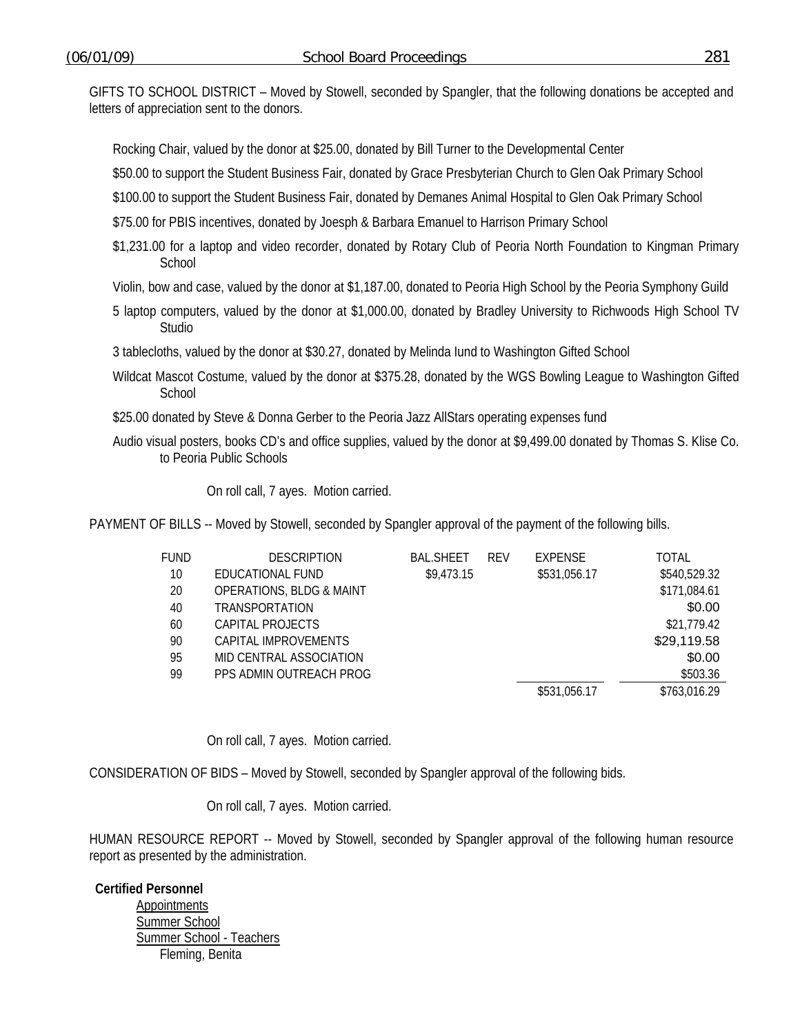GIFTS TO SCHOOL DISTRICT – Moved by Stowell, seconded by Spangler, that the following donations be accepted and letters of appreciation sent to the donors.

Rocking Chair, valued by the donor at \$25.00, donated by Bill Turner to the Developmental Center

\$50.00 to support the Student Business Fair, donated by Grace Presbyterian Church to Glen Oak Primary School

\$100.00 to support the Student Business Fair, donated by Demanes Animal Hospital to Glen Oak Primary School

\$75.00 for PBIS incentives, donated by Joesph & Barbara Emanuel to Harrison Primary School

- \$1,231.00 for a laptop and video recorder, donated by Rotary Club of Peoria North Foundation to Kingman Primary **School**
- Violin, bow and case, valued by the donor at \$1,187.00, donated to Peoria High School by the Peoria Symphony Guild
- 5 laptop computers, valued by the donor at \$1,000.00, donated by Bradley University to Richwoods High School TV Studio

3 tablecloths, valued by the donor at \$30.27, donated by Melinda Iund to Washington Gifted School

- Wildcat Mascot Costume, valued by the donor at \$375.28, donated by the WGS Bowling League to Washington Gifted **School**
- \$25.00 donated by Steve & Donna Gerber to the Peoria Jazz AllStars operating expenses fund
- Audio visual posters, books CD's and office supplies, valued by the donor at \$9,499.00 donated by Thomas S. Klise Co. to Peoria Public Schools

On roll call, 7 ayes. Motion carried.

PAYMENT OF BILLS -- Moved by Stowell, seconded by Spangler approval of the payment of the following bills.

| FUND | <b>DESCRIPTION</b>                  | <b>BAL.SHEET</b> | <b>RFV</b> | <b>EXPENSE</b> | TOTAL        |
|------|-------------------------------------|------------------|------------|----------------|--------------|
| 10   | EDUCATIONAL FUND                    | \$9,473.15       |            | \$531,056.17   | \$540,529.32 |
| 20   | <b>OPERATIONS, BLDG &amp; MAINT</b> |                  |            |                | \$171,084.61 |
| 40   | <b>TRANSPORTATION</b>               |                  |            |                | \$0.00       |
| 60   | CAPITAL PROJECTS                    |                  |            |                | \$21,779.42  |
| 90   | CAPITAL IMPROVEMENTS                |                  |            |                | \$29,119.58  |
| 95   | MID CENTRAL ASSOCIATION             |                  |            |                | \$0.00       |
| 99   | PPS ADMIN OUTREACH PROG             |                  |            |                | \$503.36     |
|      |                                     |                  |            | \$531,056.17   | \$763,016.29 |

On roll call, 7 ayes. Motion carried.

CONSIDERATION OF BIDS – Moved by Stowell, seconded by Spangler approval of the following bids.

On roll call, 7 ayes. Motion carried.

HUMAN RESOURCE REPORT -- Moved by Stowell, seconded by Spangler approval of the following human resource report as presented by the administration.

**Certified Personnel Appointments** Summer School Summer School - Teachers Fleming, Benita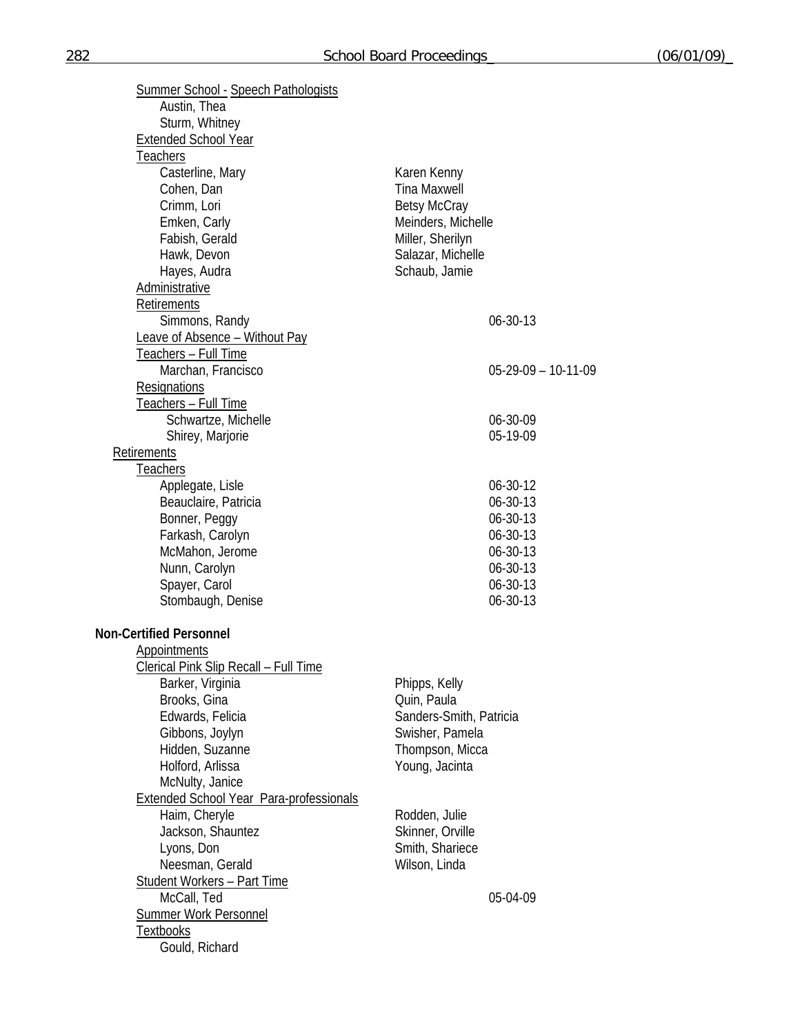| <b>Summer School - Speech Pathologists</b>     |                                   |  |
|------------------------------------------------|-----------------------------------|--|
| Austin, Thea<br>Sturm, Whitney                 |                                   |  |
| <b>Extended School Year</b>                    |                                   |  |
| <b>Teachers</b>                                |                                   |  |
| Casterline, Mary                               | Karen Kenny                       |  |
| Cohen, Dan                                     | <b>Tina Maxwell</b>               |  |
| Crimm, Lori                                    | <b>Betsy McCray</b>               |  |
| Emken, Carly                                   | Meinders, Michelle                |  |
| Fabish, Gerald                                 | Miller, Sherilyn                  |  |
| Hawk, Devon                                    | Salazar, Michelle                 |  |
| Hayes, Audra                                   | Schaub, Jamie                     |  |
| Administrative                                 |                                   |  |
| Retirements                                    |                                   |  |
| Simmons, Randy                                 | 06-30-13                          |  |
| Leave of Absence - Without Pay                 |                                   |  |
| Teachers - Full Time                           |                                   |  |
| Marchan, Francisco                             | $05-29-09 - 10-11-09$             |  |
| Resignations                                   |                                   |  |
| <u>Teachers – Full Time</u>                    |                                   |  |
| Schwartze, Michelle                            | 06-30-09                          |  |
| Shirey, Marjorie                               | 05-19-09                          |  |
| Retirements                                    |                                   |  |
| Teachers                                       |                                   |  |
| Applegate, Lisle                               | 06-30-12                          |  |
| Beauclaire, Patricia                           | 06-30-13                          |  |
| Bonner, Peggy                                  | 06-30-13                          |  |
| Farkash, Carolyn                               | 06-30-13                          |  |
| McMahon, Jerome                                | 06-30-13                          |  |
| Nunn, Carolyn                                  | 06-30-13                          |  |
| Spayer, Carol                                  | 06-30-13                          |  |
| Stombaugh, Denise                              | 06-30-13                          |  |
| <b>Non-Certified Personnel</b>                 |                                   |  |
| Appointments                                   |                                   |  |
| Clerical Pink Slip Recall - Full Time          |                                   |  |
| Barker, Virginia                               | Phipps, Kelly                     |  |
| Brooks, Gina                                   | Quin, Paula                       |  |
| Edwards, Felicia                               | Sanders-Smith, Patricia           |  |
| Gibbons, Joylyn                                | Swisher, Pamela                   |  |
| Hidden, Suzanne                                | Thompson, Micca                   |  |
| Holford, Arlissa                               | Young, Jacinta                    |  |
| McNulty, Janice                                |                                   |  |
| <b>Extended School Year Para-professionals</b> |                                   |  |
| Haim, Cheryle                                  | Rodden, Julie<br>Skinner, Orville |  |
| Jackson, Shauntez<br>Lyons, Don                | Smith, Shariece                   |  |
| Neesman, Gerald                                | Wilson, Linda                     |  |
| <b>Student Workers - Part Time</b>             |                                   |  |
| McCall, Ted                                    | 05-04-09                          |  |
| <b>Summer Work Personnel</b>                   |                                   |  |
| <b>Textbooks</b>                               |                                   |  |
| Gould, Richard                                 |                                   |  |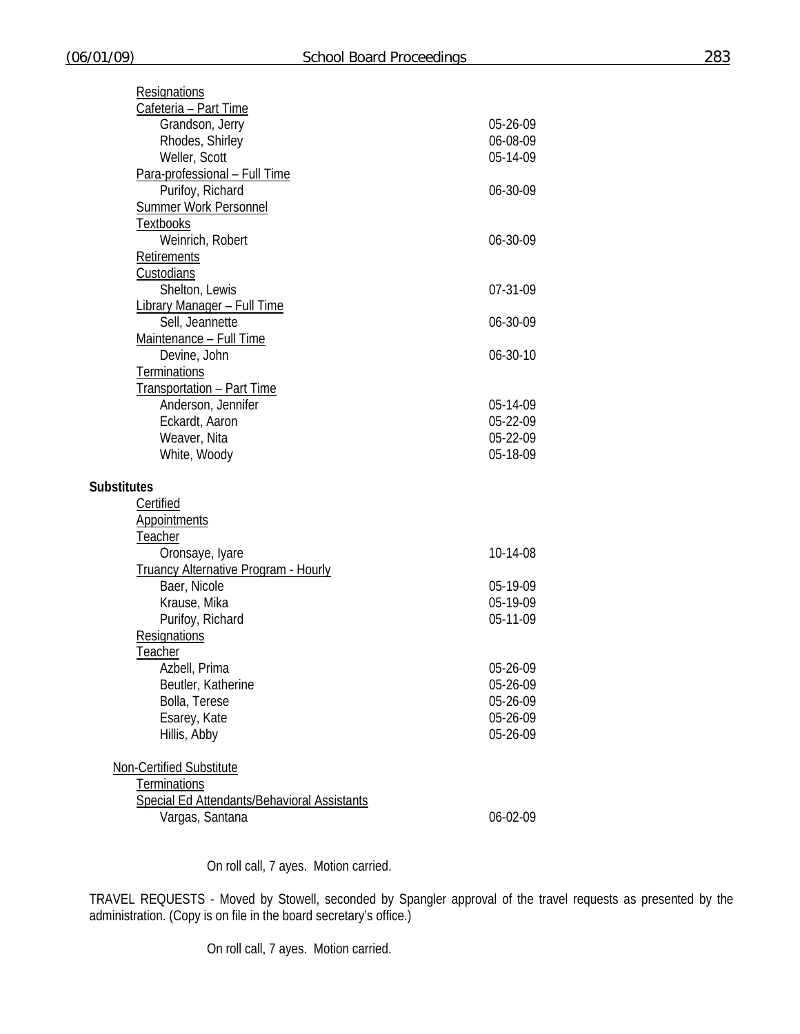| Resignations                                |          |
|---------------------------------------------|----------|
| Cafeteria - Part Time                       |          |
| Grandson, Jerry                             | 05-26-09 |
| Rhodes, Shirley                             | 06-08-09 |
| Weller, Scott                               | 05-14-09 |
| Para-professional - Full Time               |          |
| Purifoy, Richard                            | 06-30-09 |
| <b>Summer Work Personnel</b>                |          |
| <b>Textbooks</b>                            |          |
| Weinrich, Robert                            | 06-30-09 |
| Retirements                                 |          |
| Custodians                                  |          |
| Shelton, Lewis                              | 07-31-09 |
| <b>Library Manager - Full Time</b>          |          |
| Sell, Jeannette                             | 06-30-09 |
| Maintenance - Full Time                     |          |
| Devine, John                                | 06-30-10 |
| <b>Terminations</b>                         |          |
| Transportation - Part Time                  |          |
| Anderson, Jennifer                          | 05-14-09 |
| Eckardt, Aaron                              | 05-22-09 |
|                                             |          |
| Weaver, Nita                                | 05-22-09 |
| White, Woody                                | 05-18-09 |
|                                             |          |
| <b>Substitutes</b>                          |          |
| Certified                                   |          |
| <b>Appointments</b>                         |          |
| Teacher                                     |          |
| Oronsaye, Iyare                             | 10-14-08 |
| <b>Truancy Alternative Program - Hourly</b> |          |
| Baer, Nicole                                | 05-19-09 |
| Krause, Mika                                | 05-19-09 |
| Purifoy, Richard                            | 05-11-09 |
| Resignations                                |          |
| <b>Teacher</b>                              |          |
| Azbell, Prima                               | 05-26-09 |
| Beutler, Katherine                          | 05-26-09 |
| Bolla, Terese                               | 05-26-09 |
| Esarey, Kate                                | 05-26-09 |
| Hillis, Abby                                | 05-26-09 |
|                                             |          |
| Non-Certified Substitute                    |          |
| <b>Terminations</b>                         |          |
| Special Ed Attendants/Behavioral Assistants |          |
| Vargas, Santana                             | 06-02-09 |

On roll call, 7 ayes. Motion carried.

TRAVEL REQUESTS - Moved by Stowell, seconded by Spangler approval of the travel requests as presented by the administration. (Copy is on file in the board secretary's office.)

On roll call, 7 ayes. Motion carried.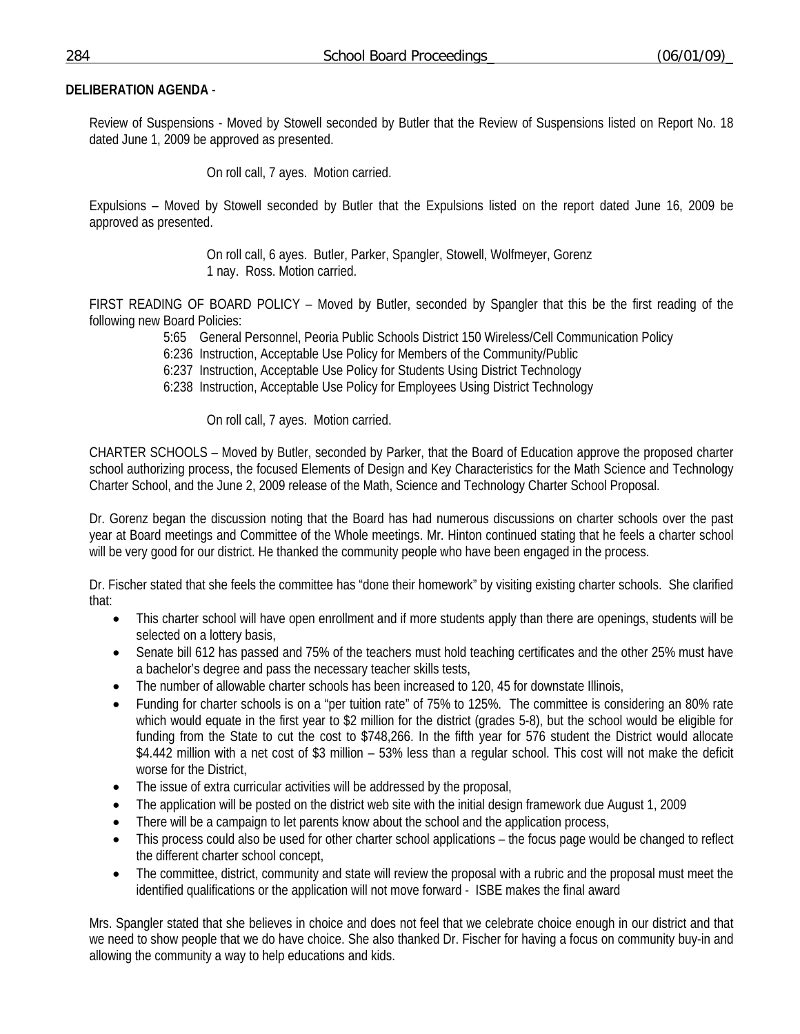# **DELIBERATION AGENDA** -

Review of Suspensions - Moved by Stowell seconded by Butler that the Review of Suspensions listed on Report No. 18 dated June 1, 2009 be approved as presented.

On roll call, 7 ayes. Motion carried.

Expulsions – Moved by Stowell seconded by Butler that the Expulsions listed on the report dated June 16, 2009 be approved as presented.

> On roll call, 6 ayes. Butler, Parker, Spangler, Stowell, Wolfmeyer, Gorenz 1 nay. Ross. Motion carried.

FIRST READING OF BOARD POLICY – Moved by Butler, seconded by Spangler that this be the first reading of the following new Board Policies:

5:65 General Personnel, Peoria Public Schools District 150 Wireless/Cell Communication Policy

6:236 Instruction, Acceptable Use Policy for Members of the Community/Public

6:237 Instruction, Acceptable Use Policy for Students Using District Technology

6:238 Instruction, Acceptable Use Policy for Employees Using District Technology

On roll call, 7 ayes. Motion carried.

CHARTER SCHOOLS – Moved by Butler, seconded by Parker, that the Board of Education approve the proposed charter school authorizing process, the focused Elements of Design and Key Characteristics for the Math Science and Technology Charter School, and the June 2, 2009 release of the Math, Science and Technology Charter School Proposal.

Dr. Gorenz began the discussion noting that the Board has had numerous discussions on charter schools over the past year at Board meetings and Committee of the Whole meetings. Mr. Hinton continued stating that he feels a charter school will be very good for our district. He thanked the community people who have been engaged in the process.

Dr. Fischer stated that she feels the committee has "done their homework" by visiting existing charter schools. She clarified that:

- This charter school will have open enrollment and if more students apply than there are openings, students will be selected on a lottery basis,
- Senate bill 612 has passed and 75% of the teachers must hold teaching certificates and the other 25% must have a bachelor's degree and pass the necessary teacher skills tests,
- The number of allowable charter schools has been increased to 120, 45 for downstate Illinois,
- Funding for charter schools is on a "per tuition rate" of 75% to 125%. The committee is considering an 80% rate which would equate in the first year to \$2 million for the district (grades 5-8), but the school would be eligible for funding from the State to cut the cost to \$748,266. In the fifth year for 576 student the District would allocate \$4.442 million with a net cost of \$3 million – 53% less than a regular school. This cost will not make the deficit worse for the District,
- The issue of extra curricular activities will be addressed by the proposal,
- The application will be posted on the district web site with the initial design framework due August 1, 2009
- There will be a campaign to let parents know about the school and the application process,
- This process could also be used for other charter school applications the focus page would be changed to reflect the different charter school concept,
- The committee, district, community and state will review the proposal with a rubric and the proposal must meet the identified qualifications or the application will not move forward - ISBE makes the final award

Mrs. Spangler stated that she believes in choice and does not feel that we celebrate choice enough in our district and that we need to show people that we do have choice. She also thanked Dr. Fischer for having a focus on community buy-in and allowing the community a way to help educations and kids.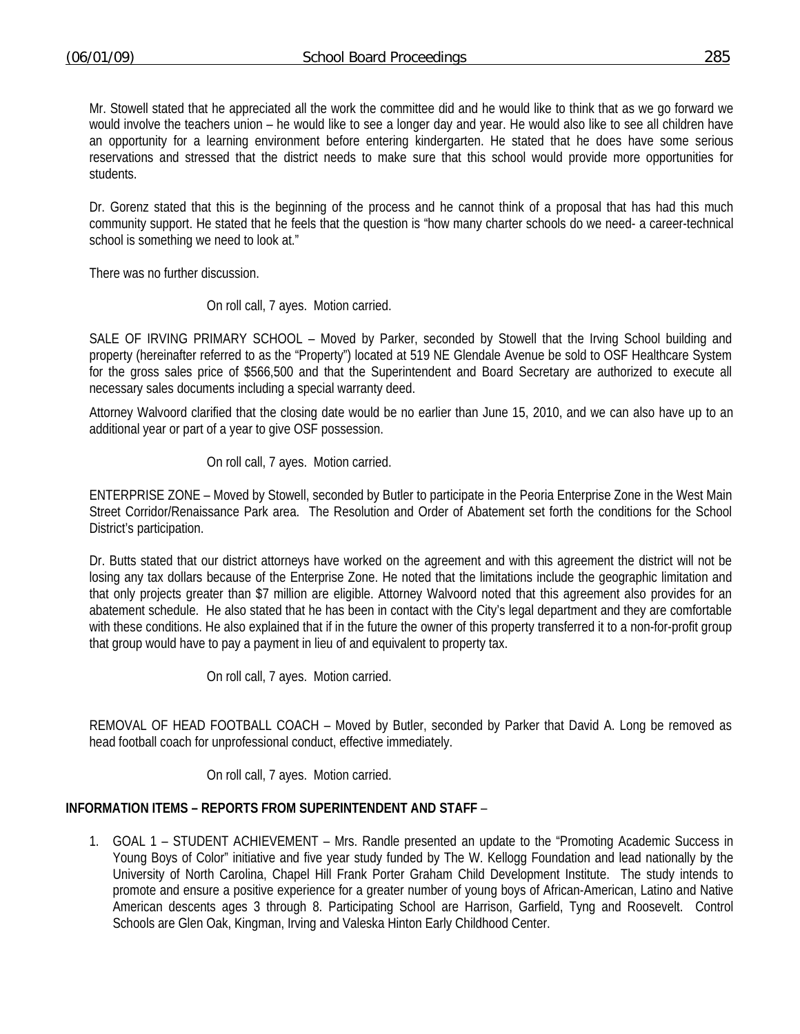Mr. Stowell stated that he appreciated all the work the committee did and he would like to think that as we go forward we would involve the teachers union – he would like to see a longer day and year. He would also like to see all children have an opportunity for a learning environment before entering kindergarten. He stated that he does have some serious reservations and stressed that the district needs to make sure that this school would provide more opportunities for students.

Dr. Gorenz stated that this is the beginning of the process and he cannot think of a proposal that has had this much community support. He stated that he feels that the question is "how many charter schools do we need- a career-technical school is something we need to look at."

There was no further discussion.

### On roll call, 7 ayes. Motion carried.

SALE OF IRVING PRIMARY SCHOOL – Moved by Parker, seconded by Stowell that the Irving School building and property (hereinafter referred to as the "Property") located at 519 NE Glendale Avenue be sold to OSF Healthcare System for the gross sales price of \$566,500 and that the Superintendent and Board Secretary are authorized to execute all necessary sales documents including a special warranty deed.

Attorney Walvoord clarified that the closing date would be no earlier than June 15, 2010, and we can also have up to an additional year or part of a year to give OSF possession.

On roll call, 7 ayes. Motion carried.

ENTERPRISE ZONE – Moved by Stowell, seconded by Butler to participate in the Peoria Enterprise Zone in the West Main Street Corridor/Renaissance Park area. The Resolution and Order of Abatement set forth the conditions for the School District's participation.

Dr. Butts stated that our district attorneys have worked on the agreement and with this agreement the district will not be losing any tax dollars because of the Enterprise Zone. He noted that the limitations include the geographic limitation and that only projects greater than \$7 million are eligible. Attorney Walvoord noted that this agreement also provides for an abatement schedule. He also stated that he has been in contact with the City's legal department and they are comfortable with these conditions. He also explained that if in the future the owner of this property transferred it to a non-for-profit group that group would have to pay a payment in lieu of and equivalent to property tax.

On roll call, 7 ayes. Motion carried.

REMOVAL OF HEAD FOOTBALL COACH – Moved by Butler, seconded by Parker that David A. Long be removed as head football coach for unprofessional conduct, effective immediately.

On roll call, 7 ayes. Motion carried.

## **INFORMATION ITEMS – REPORTS FROM SUPERINTENDENT AND STAFF** –

1. GOAL 1 – STUDENT ACHIEVEMENT – Mrs. Randle presented an update to the "Promoting Academic Success in Young Boys of Color" initiative and five year study funded by The W. Kellogg Foundation and lead nationally by the University of North Carolina, Chapel Hill Frank Porter Graham Child Development Institute. The study intends to promote and ensure a positive experience for a greater number of young boys of African-American, Latino and Native American descents ages 3 through 8. Participating School are Harrison, Garfield, Tyng and Roosevelt. Control Schools are Glen Oak, Kingman, Irving and Valeska Hinton Early Childhood Center.